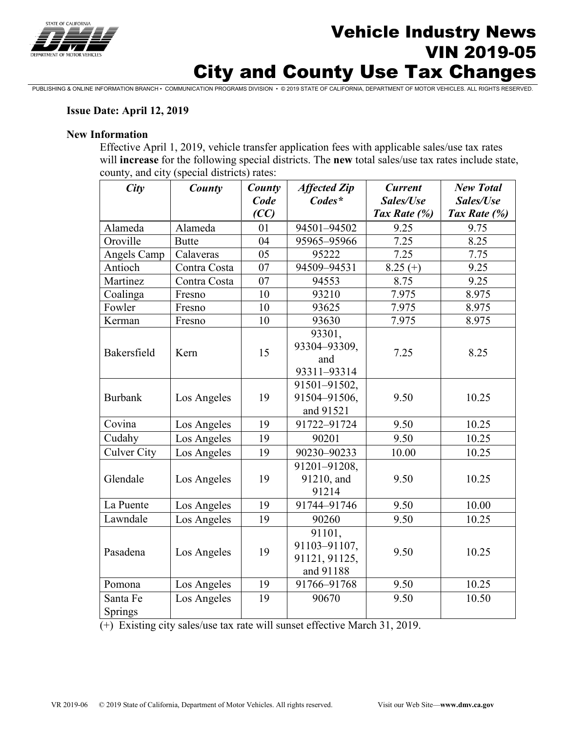

# Vehicle Industry News VIN 2019-05 City and County Use Tax Changes

PUBLISHING & ONLINE INFORMATION BRANCH • COMMUNICATION PROGRAMS DIVISION • © 2019 STATE OF CALIFORNIA, DEPARTMENT OF MOTOR VEHICLES. ALL RIGHTS RESERVED.

#### **Issue Date: April 12, 2019**

#### **New Information**

Effective April 1, 2019, vehicle transfer application fees with applicable sales/use tax rates will **increase** for the following special districts. The **new** total sales/use tax rates include state, county, and city (special districts) rates:

| City                | County       | County<br>Code<br>(CC) | <b>Affected Zip</b><br>$Codes*$                      | <b>Current</b><br>Sales/Use<br>Tax Rate (%) | <b>New Total</b><br>Sales/Use<br>Tax Rate (%) |
|---------------------|--------------|------------------------|------------------------------------------------------|---------------------------------------------|-----------------------------------------------|
| Alameda             | Alameda      | 01                     | 94501-94502                                          | 9.25                                        | 9.75                                          |
| Oroville            | <b>Butte</b> | 04                     | 95965-95966                                          | 7.25                                        | 8.25                                          |
| Angels Camp         | Calaveras    | 05                     | 95222                                                | 7.25                                        | 7.75                                          |
| Antioch             | Contra Costa | 07                     | 94509-94531                                          | $8.25(+)$                                   | 9.25                                          |
| Martinez            | Contra Costa | 07                     | 94553                                                | 8.75                                        | 9.25                                          |
| Coalinga            | Fresno       | 10                     | 93210                                                | 7.975                                       | 8.975                                         |
| Fowler              | Fresno       | 10                     | 93625                                                | 7.975                                       | 8.975                                         |
| Kerman              | Fresno       | 10                     | 93630                                                | 7.975                                       | 8.975                                         |
| Bakersfield         | Kern         | 15                     | 93301,<br>93304-93309,<br>and<br>93311-93314         | 7.25                                        | 8.25                                          |
| <b>Burbank</b>      | Los Angeles  | 19                     | 91501-91502,<br>91504-91506,<br>and 91521            | 9.50                                        | 10.25                                         |
| Covina              | Los Angeles  | 19                     | 91722-91724                                          | 9.50                                        | 10.25                                         |
| Cudahy              | Los Angeles  | 19                     | 90201                                                | 9.50                                        | 10.25                                         |
| <b>Culver City</b>  | Los Angeles  | 19                     | 90230-90233                                          | 10.00                                       | 10.25                                         |
| Glendale            | Los Angeles  | 19                     | 91201-91208,<br>91210, and<br>91214                  | 9.50                                        | 10.25                                         |
| La Puente           | Los Angeles  | 19                     | 91744-91746                                          | 9.50                                        | 10.00                                         |
| Lawndale            | Los Angeles  | 19                     | 90260                                                | 9.50                                        | 10.25                                         |
| Pasadena            | Los Angeles  | 19                     | 91101,<br>91103-91107,<br>91121, 91125,<br>and 91188 | 9.50                                        | 10.25                                         |
| Pomona              | Los Angeles  | 19                     | 91766-91768                                          | 9.50                                        | 10.25                                         |
| Santa Fe<br>Springs | Los Angeles  | 19                     | 90670                                                | 9.50                                        | 10.50                                         |

(+) Existing city sales/use tax rate will sunset effective March 31, 2019.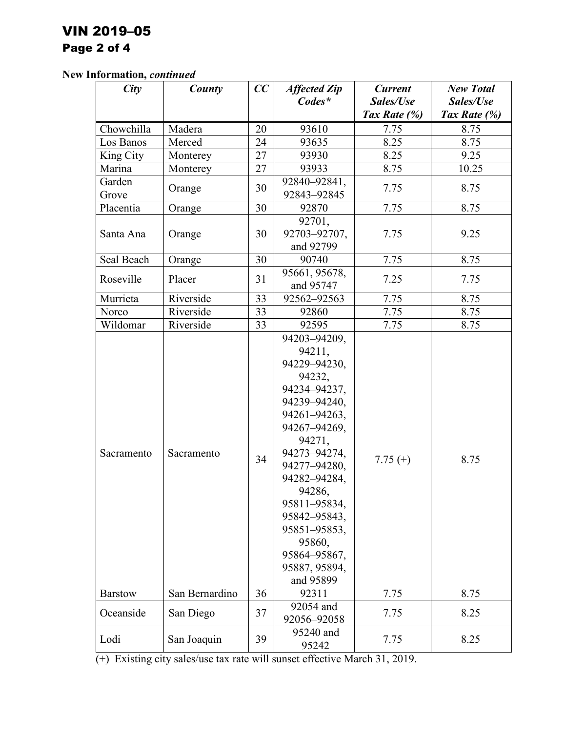# VIN 2019–05 Page 2 of 4

# **New Information,** *continued*

| City            | County         | CC | <b>Affected Zip</b>                                                                                                                                                                                                                                                                          | <b>Current</b> | <b>New Total</b> |
|-----------------|----------------|----|----------------------------------------------------------------------------------------------------------------------------------------------------------------------------------------------------------------------------------------------------------------------------------------------|----------------|------------------|
|                 |                |    | $Codes*$                                                                                                                                                                                                                                                                                     | Sales/Use      | Sales/Use        |
|                 |                |    |                                                                                                                                                                                                                                                                                              | Tax Rate (%)   | Tax Rate $(\%)$  |
| Chowchilla      | Madera         | 20 | 93610                                                                                                                                                                                                                                                                                        | 7.75           | 8.75             |
| Los Banos       | Merced         | 24 | 93635                                                                                                                                                                                                                                                                                        | 8.25           | 8.75             |
| King City       | Monterey       | 27 | 93930                                                                                                                                                                                                                                                                                        | 8.25           | 9.25             |
| Marina          | Monterey       | 27 | 93933                                                                                                                                                                                                                                                                                        | 8.75           | 10.25            |
| Garden<br>Grove | Orange         | 30 | 92840-92841,<br>92843-92845                                                                                                                                                                                                                                                                  | 7.75           | 8.75             |
| Placentia       | Orange         | 30 | 92870                                                                                                                                                                                                                                                                                        | 7.75           | 8.75             |
| Santa Ana       | Orange         | 30 | 92701,<br>92703-92707,<br>and 92799                                                                                                                                                                                                                                                          | 7.75           | 9.25             |
| Seal Beach      | Orange         | 30 | 90740                                                                                                                                                                                                                                                                                        | 7.75           | 8.75             |
| Roseville       | Placer         | 31 | 95661, 95678,<br>and 95747                                                                                                                                                                                                                                                                   | 7.25           | 7.75             |
| Murrieta        | Riverside      | 33 | 92562-92563                                                                                                                                                                                                                                                                                  | 7.75           | 8.75             |
| Norco           | Riverside      | 33 | 92860                                                                                                                                                                                                                                                                                        | 7.75           | 8.75             |
| Wildomar        | Riverside      | 33 | 92595                                                                                                                                                                                                                                                                                        | 7.75           | 8.75             |
| Sacramento      | Sacramento     | 34 | 94203-94209,<br>94211,<br>94229-94230,<br>94232,<br>94234-94237,<br>94239-94240,<br>94261-94263,<br>94267-94269,<br>94271,<br>94273-94274,<br>94277-94280,<br>94282-94284,<br>94286,<br>95811-95834,<br>95842-95843,<br>95851-95853,<br>95860,<br>95864-95867,<br>95887, 95894,<br>and 95899 | $7.75(+)$      | 8.75             |
| <b>Barstow</b>  | San Bernardino | 36 | 92311                                                                                                                                                                                                                                                                                        | 7.75           | 8.75             |
| Oceanside       | San Diego      | 37 | 92054 and<br>92056-92058                                                                                                                                                                                                                                                                     | 7.75           | 8.25             |
| Lodi            | San Joaquin    | 39 | 95240 and<br>95242                                                                                                                                                                                                                                                                           | 7.75           | 8.25             |

(+) Existing city sales/use tax rate will sunset effective March 31, 2019.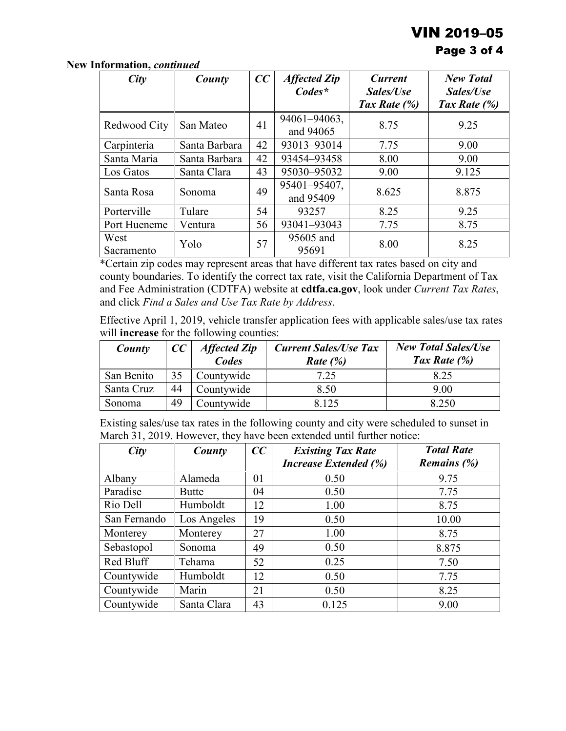# VIN 2019–05

# Page 3 of 4

| City               | County        | CC | <b>Affected Zip</b><br>$Codes^*$ | <b>Current</b><br>Sales/Use | <b>New Total</b><br>Sales/Use |
|--------------------|---------------|----|----------------------------------|-----------------------------|-------------------------------|
|                    |               |    |                                  | Tax Rate $(\%)$             | Tax Rate (%)                  |
| Redwood City       | San Mateo     | 41 | 94061-94063,<br>and 94065        | 8.75                        | 9.25                          |
| Carpinteria        | Santa Barbara | 42 | 93013-93014                      | 7.75                        | 9.00                          |
| Santa Maria        | Santa Barbara | 42 | 93454-93458                      | 8.00                        | 9.00                          |
| Los Gatos          | Santa Clara   | 43 | 95030-95032                      | 9.00                        | 9.125                         |
| Santa Rosa         | Sonoma        | 49 | 95401-95407,<br>and 95409        | 8.625                       | 8.875                         |
| Porterville        | Tulare        | 54 | 93257                            | 8.25                        | 9.25                          |
| Port Hueneme       | Ventura       | 56 | 93041-93043                      | 7.75                        | 8.75                          |
| West<br>Sacramento | Yolo          | 57 | 95605 and<br>95691               | 8.00                        | 8.25                          |

**New Information,** *continued*

\*Certain zip codes may represent areas that have different tax rates based on city and county boundaries. To identify the correct tax rate, visit the California Department of Tax and Fee Administration (CDTFA) website at **[cdtfa.ca.gov](http://www.cdtfa.ca.gov/)**, look under *Current Tax Rates*, and click *Find a Sales and Use Tax Rate by Address*.

Effective April 1, 2019, vehicle transfer application fees with applicable sales/use tax rates will **increase** for the following counties:

| County     | cc | <b>Affected Zip</b><br>Codes | <b>Current Sales/Use Tax</b><br>Rate $(\%)$ | <b>New Total Sales/Use</b><br>Tax Rate $(\%)$ |
|------------|----|------------------------------|---------------------------------------------|-----------------------------------------------|
| San Benito | 35 | Countywide                   | 7.25                                        | 8.25                                          |
| Santa Cruz | 44 | Countywide                   | 8.50                                        | 9.00                                          |
| Sonoma     | 49 | Countywide                   | 8.125                                       | 8.250                                         |

Existing sales/use tax rates in the following county and city were scheduled to sunset in March 31, 2019. However, they have been extended until further notice:

| City         | County       | CC | <b>Existing Tax Rate</b>     | <b>Total Rate</b> |
|--------------|--------------|----|------------------------------|-------------------|
|              |              |    | <b>Increase Extended (%)</b> | Remains $(\%)$    |
| Albany       | Alameda      | 01 | 0.50                         | 9.75              |
| Paradise     | <b>Butte</b> | 04 | 0.50                         | 7.75              |
| Rio Dell     | Humboldt     | 12 | 1.00                         | 8.75              |
| San Fernando | Los Angeles  | 19 | 0.50                         | 10.00             |
| Monterey     | Monterey     | 27 | 1.00                         | 8.75              |
| Sebastopol   | Sonoma       | 49 | 0.50                         | 8.875             |
| Red Bluff    | Tehama       | 52 | 0.25                         | 7.50              |
| Countywide   | Humboldt     | 12 | 0.50                         | 7.75              |
| Countywide   | Marin        | 21 | 0.50                         | 8.25              |
| Countywide   | Santa Clara  | 43 | 0.125                        | 9.00              |